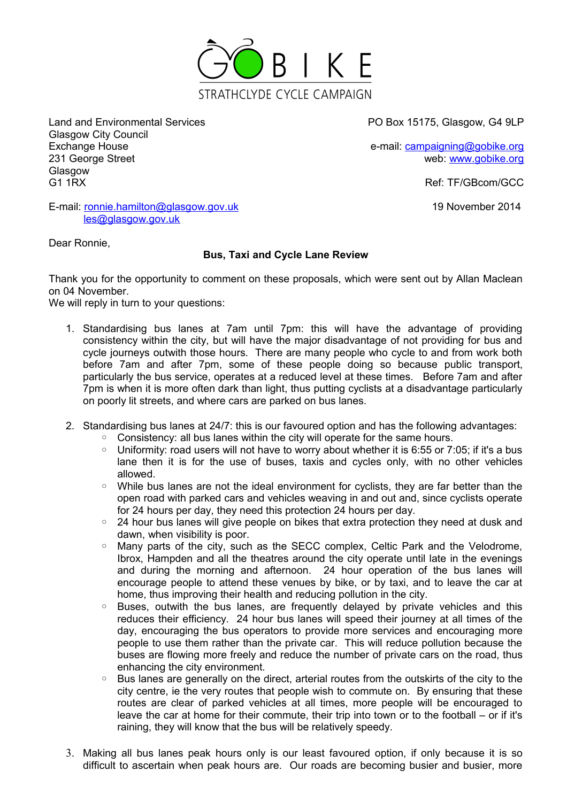

Land and Environmental Services PO Box 15175, Glasgow, G4 9LP Glasgow City Council Exchange House e-mail: [campaigning@gobike.org](mailto:campaigning@gobike.org) e-mail: campaigning@gobike.org 231 George Street web: [www.gobike.org](http://www.gobike.org/) Glasgow G1 1RX Ref: TF/GBcom/GCC

19 November 2014

E-mail: [ronnie.hamilton@glasgow.gov.uk](mailto:ronnie.hamilton@glasgow.gov.uk) [les@glasgow.gov.uk](mailto:les@glasgow.gov.uk)

Dear Ronnie,

## **Bus, Taxi and Cycle Lane Review**

Thank you for the opportunity to comment on these proposals, which were sent out by Allan Maclean on 04 November.

We will reply in turn to your questions:

- 1. Standardising bus lanes at 7am until 7pm: this will have the advantage of providing consistency within the city, but will have the major disadvantage of not providing for bus and cycle journeys outwith those hours. There are many people who cycle to and from work both before 7am and after 7pm, some of these people doing so because public transport, particularly the bus service, operates at a reduced level at these times. Before 7am and after 7pm is when it is more often dark than light, thus putting cyclists at a disadvantage particularly on poorly lit streets, and where cars are parked on bus lanes.
- 2. Standardising bus lanes at 24/7: this is our favoured option and has the following advantages:
	- Consistency: all bus lanes within the city will operate for the same hours.
	- Uniformity: road users will not have to worry about whether it is 6:55 or 7:05; if it's a bus lane then it is for the use of buses, taxis and cycles only, with no other vehicles allowed.
	- While bus lanes are not the ideal environment for cyclists, they are far better than the open road with parked cars and vehicles weaving in and out and, since cyclists operate for 24 hours per day, they need this protection 24 hours per day.
	- 24 hour bus lanes will give people on bikes that extra protection they need at dusk and dawn, when visibility is poor.
	- Many parts of the city, such as the SECC complex, Celtic Park and the Velodrome, Ibrox, Hampden and all the theatres around the city operate until late in the evenings and during the morning and afternoon. 24 hour operation of the bus lanes will encourage people to attend these venues by bike, or by taxi, and to leave the car at home, thus improving their health and reducing pollution in the city.
	- Buses, outwith the bus lanes, are frequently delayed by private vehicles and this reduces their efficiency. 24 hour bus lanes will speed their journey at all times of the day, encouraging the bus operators to provide more services and encouraging more people to use them rather than the private car. This will reduce pollution because the buses are flowing more freely and reduce the number of private cars on the road, thus enhancing the city environment.
	- Bus lanes are generally on the direct, arterial routes from the outskirts of the city to the city centre, ie the very routes that people wish to commute on. By ensuring that these routes are clear of parked vehicles at all times, more people will be encouraged to leave the car at home for their commute, their trip into town or to the football – or if it's raining, they will know that the bus will be relatively speedy.
- 3. Making all bus lanes peak hours only is our least favoured option, if only because it is so difficult to ascertain when peak hours are. Our roads are becoming busier and busier, more